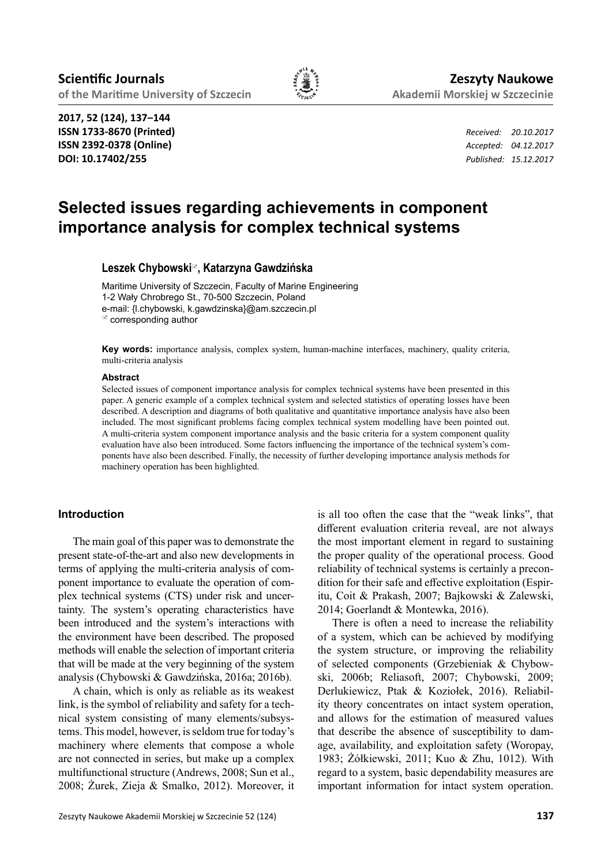

**2017, 52 (124), 137‒144 ISSN 1733-8670 (Printed)** *Received: 20.10.2017* **ISSN 2392-0378 (Online)** *Accepted: 04.12.2017* **DOI: 10.17402/255** *Published: 15.12.2017*

# **Selected issues regarding achievements in component importance analysis for complex technical systems**

**Leszek Chybowski, Katarzyna Gawdzińska**

Maritime University of Szczecin, Faculty of Marine Engineering 1-2 Wały Chrobrego St., 70-500 Szczecin, Poland e-mail: {l.chybowski, k.gawdzinska}@am.szczecin.pl corresponding author

**Key words:** importance analysis, complex system, human-machine interfaces, machinery, quality criteria, multi-criteria analysis

#### **Abstract**

Selected issues of component importance analysis for complex technical systems have been presented in this paper. A generic example of a complex technical system and selected statistics of operating losses have been described. A description and diagrams of both qualitative and quantitative importance analysis have also been included. The most significant problems facing complex technical system modelling have been pointed out. A multi-criteria system component importance analysis and the basic criteria for a system component quality evaluation have also been introduced. Some factors influencing the importance of the technical system's components have also been described. Finally, the necessity of further developing importance analysis methods for machinery operation has been highlighted.

## **Introduction**

The main goal of this paper was to demonstrate the present state-of-the-art and also new developments in terms of applying the multi-criteria analysis of component importance to evaluate the operation of complex technical systems (CTS) under risk and uncertainty. The system's operating characteristics have been introduced and the system's interactions with the environment have been described. The proposed methods will enable the selection of important criteria that will be made at the very beginning of the system analysis (Chybowski & Gawdzińska, 2016a; 2016b).

A chain, which is only as reliable as its weakest link, is the symbol of reliability and safety for a technical system consisting of many elements/subsystems. This model, however, is seldom true for today's machinery where elements that compose a whole are not connected in series, but make up a complex multifunctional structure (Andrews, 2008; Sun et al., 2008; Żurek, Zieja & Smalko, 2012). Moreover, it

is all too often the case that the "weak links", that different evaluation criteria reveal, are not always the most important element in regard to sustaining the proper quality of the operational process. Good reliability of technical systems is certainly a precondition for their safe and effective exploitation (Espiritu, Coit & Prakash, 2007; Bajkowski & Zalewski, 2014; Goerlandt & Montewka, 2016).

There is often a need to increase the reliability of a system, which can be achieved by modifying the system structure, or improving the reliability of selected components (Grzebieniak & Chybowski, 2006b; Reliasoft, 2007; Chybowski, 2009; Derlukiewicz, Ptak & Koziołek, 2016). Reliability theory concentrates on intact system operation, and allows for the estimation of measured values that describe the absence of susceptibility to damage, availability, and exploitation safety (Woropay, 1983; Żółkiewski, 2011; Kuo & Zhu, 1012). With regard to a system, basic dependability measures are important information for intact system operation.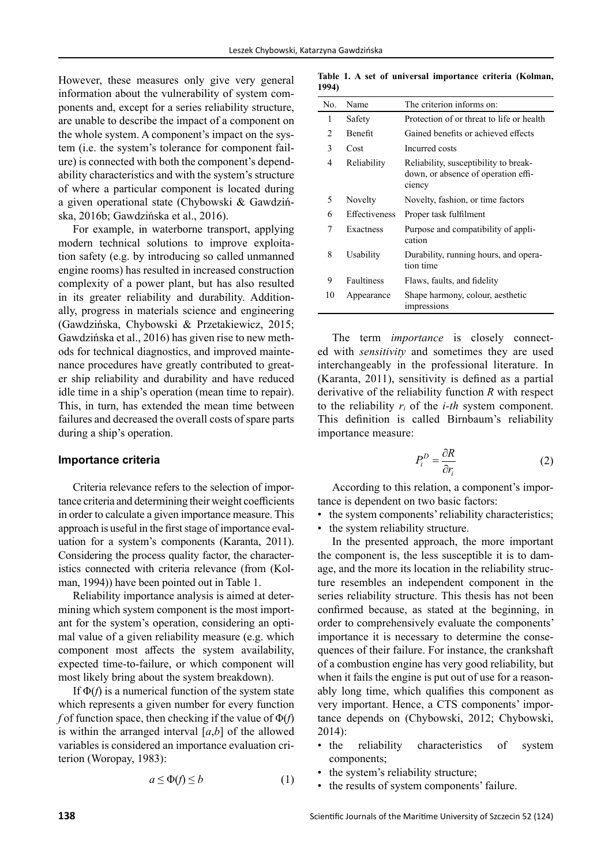However, these measures only give very general information about the vulnerability of system components and, except for a series reliability structure, are unable to describe the impact of a component on the whole system. A component's impact on the system (i.e. the system's tolerance for component failure) is connected with both the component's dependability characteristics and with the system's structure of where a particular component is located during a given operational state (Chybowski & Gawdzińska, 2016b; Gawdzińska et al., 2016).

For example, in waterborne transport, applying modern technical solutions to improve exploitation safety (e.g. by introducing so called unmanned engine rooms) has resulted in increased construction complexity of a power plant, but has also resulted in its greater reliability and durability. Additionally, progress in materials science and engineering (Gawdzińska, Chybowski & Przetakiewicz, 2015; Gawdzińska et al., 2016) has given rise to new methods for technical diagnostics, and improved maintenance procedures have greatly contributed to greater ship reliability and durability and have reduced idle time in a ship's operation (mean time to repair). This, in turn, has extended the mean time between failures and decreased the overall costs of spare parts during a ship's operation.

#### **Importance criteria**

Criteria relevance refers to the selection of importance criteria and determining their weight coefficients in order to calculate a given importance measure. This approach is useful in the first stage of importance evaluation for a system's components (Karanta, 2011). Considering the process quality factor, the characteristics connected with criteria relevance (from (Kolman, 1994)) have been pointed out in Table 1.

Reliability importance analysis is aimed at determining which system component is the most important for the system's operation, considering an optimal value of a given reliability measure (e.g. which component most affects the system availability, expected time-to-failure, or which component will most likely bring about the system breakdown).

If  $\Phi(f)$  is a numerical function of the system state which represents a given number for every function *f* of function space, then checking if the value of Φ(*f*) is within the arranged interval  $[a,b]$  of the allowed variables is considered an importance evaluation criterion (Woropay, 1983):

$$
a \le \Phi(f) \le b \tag{1}
$$

**Table 1. A set of universal importance criteria (Kolman, 1994)**

| No.           | Name                 | The criterion informs on:                                                              |
|---------------|----------------------|----------------------------------------------------------------------------------------|
| 1             | Safety               | Protection of or threat to life or health                                              |
| $\mathcal{D}$ | <b>Benefit</b>       | Gained benefits or achieved effects                                                    |
| 3             | Cost                 | Incurred costs                                                                         |
| 4             | Reliability          | Reliability, susceptibility to break-<br>down, or absence of operation effi-<br>ciency |
| 5             | Novelty              | Novelty, fashion, or time factors                                                      |
| 6             | <b>Effectiveness</b> | Proper task fulfilment                                                                 |
| 7             | Exactness            | Purpose and compatibility of appli-<br>cation                                          |
| 8             | Usability            | Durability, running hours, and opera-<br>tion time                                     |
| 9             | <b>Faultiness</b>    | Flaws, faults, and fidelity                                                            |
| 10            | Appearance           | Shape harmony, colour, aesthetic<br>impressions                                        |

The term *importance* is closely connected with *sensitivity* and sometimes they are used interchangeably in the professional literature. In (Karanta, 2011), sensitivity is defined as a partial derivative of the reliability function *R* with respect to the reliability *ri* of the *i-th* system component. This definition is called Birnbaum's reliability importance measure:

$$
P_i^D = \frac{\partial R}{\partial r_i} \tag{2}
$$

According to this relation, a component's importance is dependent on two basic factors:

- the system components' reliability characteristics;
- the system reliability structure.

In the presented approach, the more important the component is, the less susceptible it is to damage, and the more its location in the reliability structure resembles an independent component in the series reliability structure. This thesis has not been confirmed because, as stated at the beginning, in order to comprehensively evaluate the components' importance it is necessary to determine the consequences of their failure. For instance, the crankshaft of a combustion engine has very good reliability, but when it fails the engine is put out of use for a reasonably long time, which qualifies this component as very important. Hence, a CTS components' importance depends on (Chybowski, 2012; Chybowski, 2014):

- the reliability characteristics of system components;
- the system's reliability structure;
- the results of system components' failure.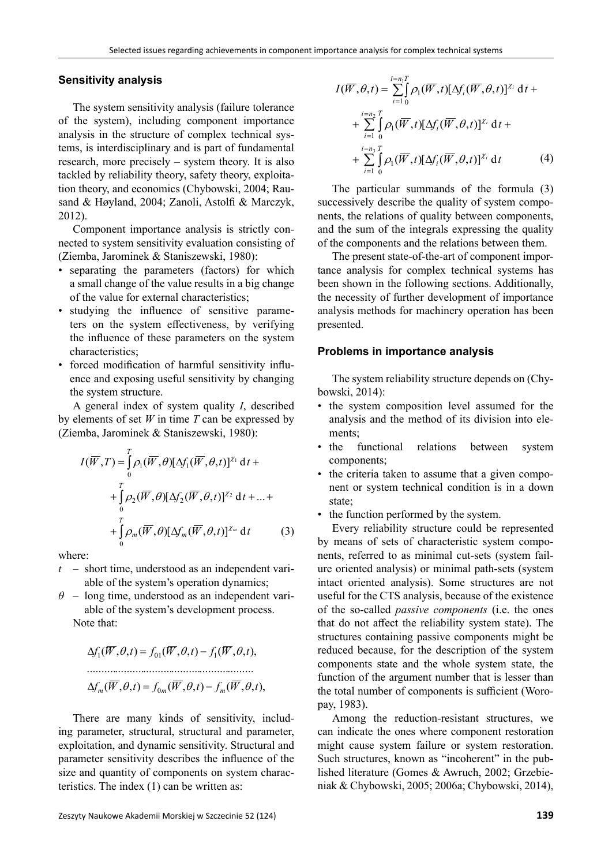### **Sensitivity analysis**

The system sensitivity analysis (failure tolerance of the system), including component importance analysis in the structure of complex technical systems, is interdisciplinary and is part of fundamental research, more precisely – system theory. It is also tackled by reliability theory, safety theory, exploitation theory, and economics (Chybowski, 2004; Rausand & Høyland, 2004; Zanoli, Astolfi & Marczyk, 2012).

Component importance analysis is strictly connected to system sensitivity evaluation consisting of (Ziemba, Jarominek & Staniszewski, 1980):

- separating the parameters (factors) for which a small change of the value results in a big change of the value for external characteristics;
- studying the influence of sensitive parameters on the system effectiveness, by verifying the influence of these parameters on the system characteristics;
- forced modification of harmful sensitivity influence and exposing useful sensitivity by changing the system structure.

A general index of system quality *I*, described by elements of set *W* in time *T* can be expressed by (Ziemba, Jarominek & Staniszewski, 1980):

$$
I(\overline{W},T) = \int_{0}^{T} \rho_1(\overline{W},\theta)[\Delta f_1(\overline{W},\theta,t)]^{X_1} dt +
$$
  
+ 
$$
\int_{0}^{T} \rho_2(\overline{W},\theta)[\Delta f_2(\overline{W},\theta,t)]^{X_2} dt + ... +
$$
  
+ 
$$
\int_{0}^{T} \rho_m(\overline{W},\theta)[\Delta f_m(\overline{W},\theta,t)]^{X_m} dt
$$
 (3)

where:

- *t –* short time, understood as an independent variable of the system's operation dynamics;
- $\theta$  long time, understood as an independent variable of the system's development process. Note that:

$$
\Delta f_1(\overline{W}, \theta, t) = f_{01}(\overline{W}, \theta, t) - f_1(\overline{W}, \theta, t),
$$
  
\n
$$
\Delta f_m(\overline{W}, \theta, t) = f_{0m}(\overline{W}, \theta, t) - f_m(\overline{W}, \theta, t),
$$

There are many kinds of sensitivity, including parameter, structural, structural and parameter, exploitation, and dynamic sensitivity. Structural and parameter sensitivity describes the influence of the size and quantity of components on system characteristics. The index (1) can be written as:

$$
I(\overline{W}, \theta, t) = \sum_{i=1}^{i=n_1T} \beta_i (\overline{W}, t) [\Delta f_i(\overline{W}, \theta, t)]^{\chi_i} dt +
$$
  
+ 
$$
\sum_{i=1}^{i=n_2T} \int_{0}^{T} \beta_i (\overline{W}, t) [\Delta f_i(\overline{W}, \theta, t)]^{\chi_i} dt +
$$
  
+ 
$$
\sum_{i=1}^{i=n_3T} \int_{0}^{T} \beta_i (\overline{W}, t) [\Delta f_i(\overline{W}, \theta, t)]^{\chi_i} dt
$$
(4)

The particular summands of the formula (3) successively describe the quality of system components, the relations of quality between components, and the sum of the integrals expressing the quality of the components and the relations between them.

The present state-of-the-art of component importance analysis for complex technical systems has been shown in the following sections. Additionally, the necessity of further development of importance analysis methods for machinery operation has been presented.

#### **Problems in importance analysis**

The system reliability structure depends on (Chybowski, 2014):

- the system composition level assumed for the analysis and the method of its division into elements;
- the functional relations between system components;
- the criteria taken to assume that a given component or system technical condition is in a down state;
- the function performed by the system.

Every reliability structure could be represented by means of sets of characteristic system components, referred to as minimal cut-sets (system failure oriented analysis) or minimal path-sets (system intact oriented analysis). Some structures are not useful for the CTS analysis, because of the existence of the so-called *passive components* (i.e. the ones that do not affect the reliability system state). The structures containing passive components might be reduced because, for the description of the system components state and the whole system state, the function of the argument number that is lesser than the total number of components is sufficient (Woropay, 1983).

Among the reduction-resistant structures, we can indicate the ones where component restoration might cause system failure or system restoration. Such structures, known as "incoherent" in the published literature (Gomes & Awruch, 2002; Grzebieniak & Chybowski, 2005; 2006a; Chybowski, 2014),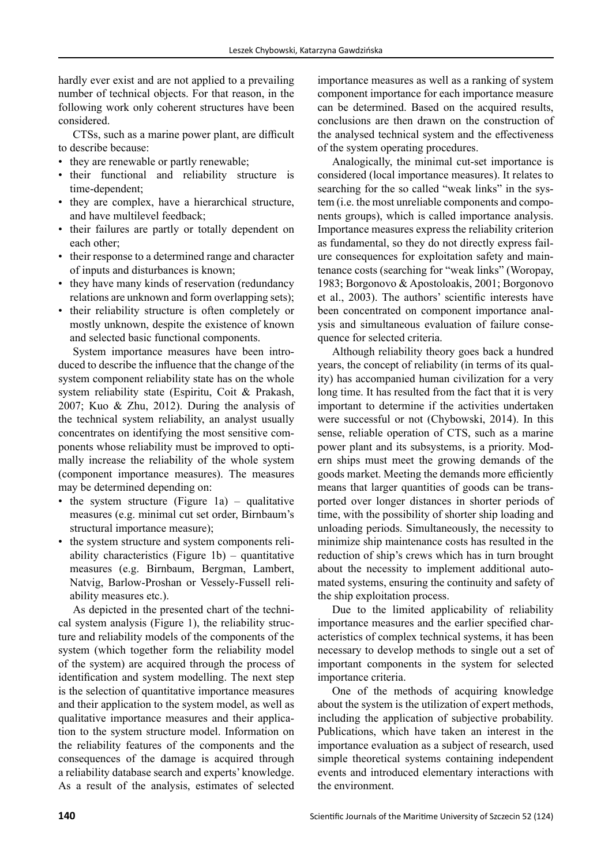hardly ever exist and are not applied to a prevailing number of technical objects. For that reason, in the following work only coherent structures have been considered.

CTSs, such as a marine power plant, are difficult to describe because:

- they are renewable or partly renewable;
- their functional and reliability structure is time-dependent;
- they are complex, have a hierarchical structure, and have multilevel feedback;
- their failures are partly or totally dependent on each other;
- their response to a determined range and character of inputs and disturbances is known;
- they have many kinds of reservation (redundancy relations are unknown and form overlapping sets);
- their reliability structure is often completely or mostly unknown, despite the existence of known and selected basic functional components.

System importance measures have been introduced to describe the influence that the change of the system component reliability state has on the whole system reliability state (Espiritu, Coit & Prakash, 2007; Kuo & Zhu, 2012). During the analysis of the technical system reliability, an analyst usually concentrates on identifying the most sensitive components whose reliability must be improved to optimally increase the reliability of the whole system (component importance measures). The measures may be determined depending on:

- the system structure (Figure 1a) qualitative measures (e.g. minimal cut set order, Birnbaum's structural importance measure);
- the system structure and system components reliability characteristics (Figure 1b) – quantitative measures (e.g. Birnbaum, Bergman, Lambert, Natvig, Barlow-Proshan or Vessely-Fussell reliability measures etc.).

As depicted in the presented chart of the technical system analysis (Figure 1), the reliability structure and reliability models of the components of the system (which together form the reliability model of the system) are acquired through the process of identification and system modelling. The next step is the selection of quantitative importance measures and their application to the system model, as well as qualitative importance measures and their application to the system structure model. Information on the reliability features of the components and the consequences of the damage is acquired through a reliability database search and experts' knowledge. As a result of the analysis, estimates of selected

importance measures as well as a ranking of system component importance for each importance measure can be determined. Based on the acquired results, conclusions are then drawn on the construction of the analysed technical system and the effectiveness of the system operating procedures.

Analogically, the minimal cut-set importance is considered (local importance measures). It relates to searching for the so called "weak links" in the system (i.e. the most unreliable components and components groups), which is called importance analysis. Importance measures express the reliability criterion as fundamental, so they do not directly express failure consequences for exploitation safety and maintenance costs (searching for "weak links" (Woropay, 1983; Borgonovo & Apostoloakis, 2001; Borgonovo et al., 2003). The authors' scientific interests have been concentrated on component importance analysis and simultaneous evaluation of failure consequence for selected criteria.

Although reliability theory goes back a hundred years, the concept of reliability (in terms of its quality) has accompanied human civilization for a very long time. It has resulted from the fact that it is very important to determine if the activities undertaken were successful or not (Chybowski, 2014). In this sense, reliable operation of CTS, such as a marine power plant and its subsystems, is a priority. Modern ships must meet the growing demands of the goods market. Meeting the demands more efficiently means that larger quantities of goods can be transported over longer distances in shorter periods of time, with the possibility of shorter ship loading and unloading periods. Simultaneously, the necessity to minimize ship maintenance costs has resulted in the reduction of ship's crews which has in turn brought about the necessity to implement additional automated systems, ensuring the continuity and safety of the ship exploitation process.

Due to the limited applicability of reliability importance measures and the earlier specified characteristics of complex technical systems, it has been necessary to develop methods to single out a set of important components in the system for selected importance criteria.

One of the methods of acquiring knowledge about the system is the utilization of expert methods, including the application of subjective probability. Publications, which have taken an interest in the importance evaluation as a subject of research, used simple theoretical systems containing independent events and introduced elementary interactions with the environment.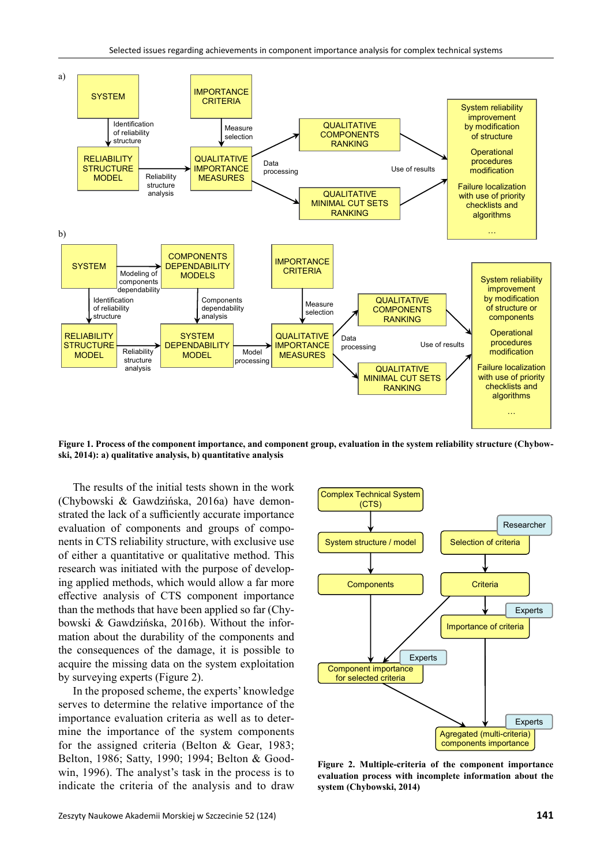

**Figure 1. Process of the component importance, and component group, evaluation in the system reliability structure (Chybowski, 2014): a) qualitative analysis, b) quantitative analysis**

The results of the initial tests shown in the work (Chybowski & Gawdzińska, 2016a) have demonstrated the lack of a sufficiently accurate importance evaluation of components and groups of components in CTS reliability structure, with exclusive use of either a quantitative or qualitative method. This research was initiated with the purpose of developing applied methods, which would allow a far more effective analysis of CTS component importance than the methods that have been applied so far (Chybowski & Gawdzińska, 2016b). Without the information about the durability of the components and the consequences of the damage, it is possible to acquire the missing data on the system exploitation by surveying experts (Figure 2).

In the proposed scheme, the experts' knowledge serves to determine the relative importance of the importance evaluation criteria as well as to determine the importance of the system components for the assigned criteria (Belton & Gear, 1983; Belton, 1986; Satty, 1990; 1994; Belton & Goodwin, 1996). The analyst's task in the process is to indicate the criteria of the analysis and to draw



**Figure 2. Multiple-criteria of the component importance evaluation process with incomplete information about the system (Chybowski, 2014)**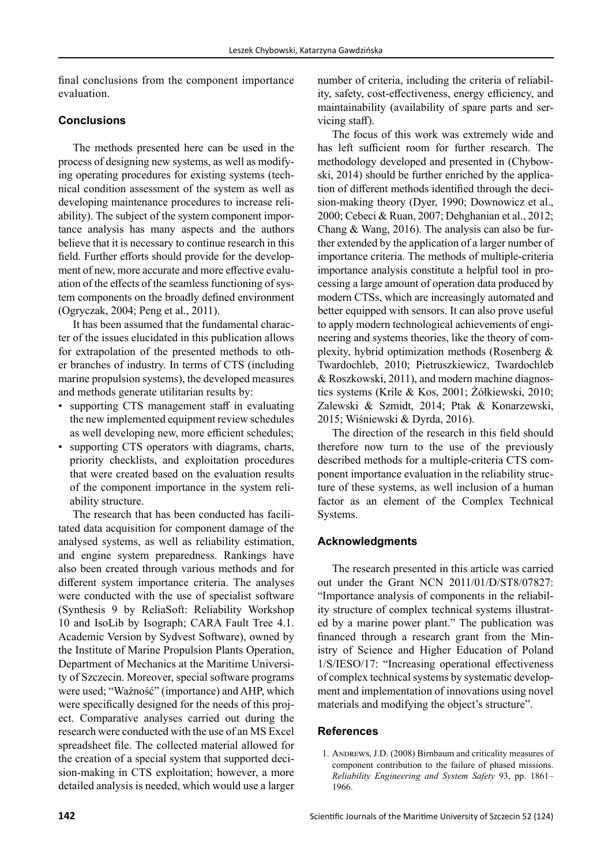final conclusions from the component importance evaluation.

# **Conclusions**

The methods presented here can be used in the process of designing new systems, as well as modifying operating procedures for existing systems (technical condition assessment of the system as well as developing maintenance procedures to increase reliability). The subject of the system component importance analysis has many aspects and the authors believe that it is necessary to continue research in this field. Further efforts should provide for the development of new, more accurate and more effective evaluation of the effects of the seamless functioning of system components on the broadly defined environment (Ogryczak, 2004; Peng et al., 2011).

It has been assumed that the fundamental character of the issues elucidated in this publication allows for extrapolation of the presented methods to other branches of industry. In terms of CTS (including marine propulsion systems), the developed measures and methods generate utilitarian results by:

- supporting CTS management staff in evaluating the new implemented equipment review schedules as well developing new, more efficient schedules;
- supporting CTS operators with diagrams, charts, priority checklists, and exploitation procedures that were created based on the evaluation results of the component importance in the system reliability structure.

The research that has been conducted has facilitated data acquisition for component damage of the analysed systems, as well as reliability estimation, and engine system preparedness. Rankings have also been created through various methods and for different system importance criteria. The analyses were conducted with the use of specialist software (Synthesis 9 by ReliaSoft: Reliability Workshop 10 and IsoLib by Isograph; CARA Fault Tree 4.1. Academic Version by Sydvest Software), owned by the Institute of Marine Propulsion Plants Operation, Department of Mechanics at the Maritime University of Szczecin. Moreover, special software programs were used; "Ważność" (importance) and AHP, which were specifically designed for the needs of this project. Comparative analyses carried out during the research were conducted with the use of an MS Excel spreadsheet file. The collected material allowed for the creation of a special system that supported decision-making in CTS exploitation; however, a more detailed analysis is needed, which would use a larger number of criteria, including the criteria of reliability, safety, cost-effectiveness, energy efficiency, and maintainability (availability of spare parts and servicing staff).

The focus of this work was extremely wide and has left sufficient room for further research. The methodology developed and presented in (Chybowski, 2014) should be further enriched by the application of different methods identified through the decision-making theory (Dyer, 1990; Downowicz et al., 2000; Cebeci & Ruan, 2007; Dehghanian et al., 2012; Chang & Wang, 2016). The analysis can also be further extended by the application of a larger number of importance criteria. The methods of multiple-criteria importance analysis constitute a helpful tool in processing a large amount of operation data produced by modern CTSs, which are increasingly automated and better equipped with sensors. It can also prove useful to apply modern technological achievements of engineering and systems theories, like the theory of complexity, hybrid optimization methods (Rosenberg & Twardochleb, 2010; Pietruszkiewicz, Twardochleb & Roszkowski, 2011), and modern machine diagnostics systems (Krile & Kos, 2001; Żółkiewski, 2010; Zalewski & Szmidt, 2014; Ptak & Konarzewski, 2015; Wiśniewski & Dyrda, 2016).

The direction of the research in this field should therefore now turn to the use of the previously described methods for a multiple-criteria CTS component importance evaluation in the reliability structure of these systems, as well inclusion of a human factor as an element of the Complex Technical Systems.

# **Acknowledgments**

The research presented in this article was carried out under the Grant NCN 2011/01/D/ST8/07827: "Importance analysis of components in the reliability structure of complex technical systems illustrated by a marine power plant." The publication was financed through a research grant from the Ministry of Science and Higher Education of Poland 1/S/IESO/17: "Increasing operational effectiveness of complex technical systems by systematic development and implementation of innovations using novel materials and modifying the object's structure".

## **References**

1. Andrews, J.D. (2008) Birnbaum and criticality measures of component contribution to the failure of phased missions. *Reliability Engineering and System Safety* 93, pp. 1861– 1966.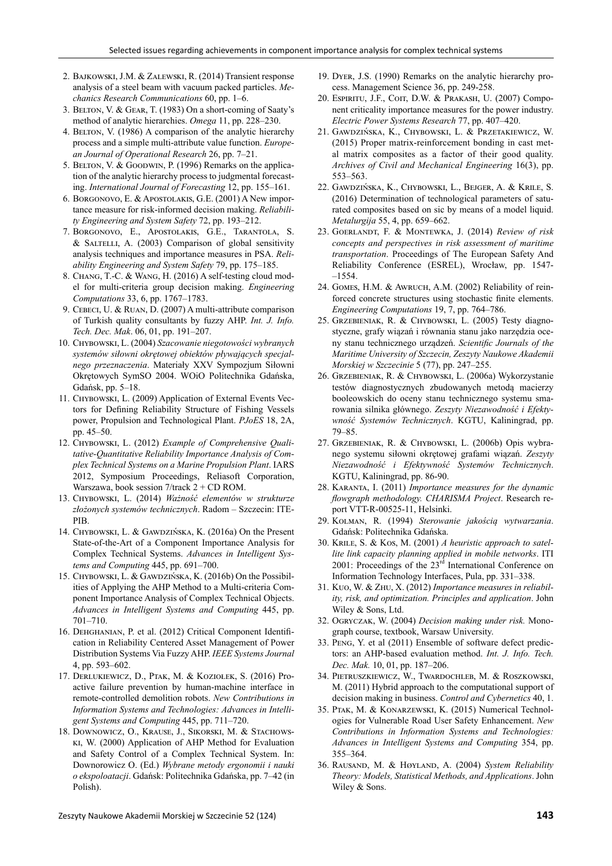- 2. Bajkowski, J.M. & Zalewski, R. (2014) Transient response analysis of a steel beam with vacuum packed particles. *Mechanics Research Communications* 60, pp. 1–6.
- 3. Belton, V. & Gear, T. (1983) On a short-coming of Saaty's method of analytic hierarchies. *Omega* 11, pp. 228–230.
- 4. BELTON, V. (1986) A comparison of the analytic hierarchy process and a simple multi-attribute value function. *European Journal of Operational Research* 26, pp. 7–21.
- 5. BELTON, V. & GOODWIN, P. (1996) Remarks on the application of the analytic hierarchy process to judgmental forecasting. *International Journal of Forecasting* 12, pp. 155–161.
- 6. Borgonovo, E. & Apostolakis, G.E. (2001) A New importance measure for risk-informed decision making. *Reliability Engineering and System Safety* 72, pp. 193–212.
- 7. Borgonovo, E., Apostolakis, G.E., Tarantola, S. & Saltelli, A. (2003) Comparison of global sensitivity analysis techniques and importance measures in PSA. *Reliability Engineering and System Safety* 79, pp. 175–185.
- 8. Chang, T.-C. & Wang, H. (2016) A self-testing cloud model for multi-criteria group decision making. *Engineering Computations* 33, 6, pp. 1767–1783.
- 9. Cebeci, U. & Ruan, D. (2007) A multi-attribute comparison of Turkish quality consultants by fuzzy AHP. *Int. J. Info. Tech. Dec. Mak*. 06, 01, pp. 191–207.
- 10. Chybowski, L. (2004) *Szacowanie niegotowości wybranych systemów siłowni okrętowej obiektów pływających specjalnego przeznaczenia*. Materiały XXV Sympozjum Siłowni Okrętowych SymSO 2004. WOiO Politechnika Gdańska, Gdańsk, pp. 5–18.
- 11. CHYBOWSKI, L. (2009) Application of External Events Vectors for Defining Reliability Structure of Fishing Vessels power, Propulsion and Technological Plant. *PJoES* 18, 2A, pp. 45–50.
- 12. Chybowski, L. (2012) *Example of Comprehensive Qualitative-Quantitative Reliability Importance Analysis of Complex Technical Systems on a Marine Propulsion Plant*. IARS 2012, Symposium Proceedings, Reliasoft Corporation, Warszawa, book session 7/track 2 + CD ROM.
- 13. Chybowski, L. (2014) *Ważność elementów w strukturze złożonych systemów technicznych*. Radom – Szczecin: ITE-PIB.
- 14. Chybowski, L. & Gawdzińska, K. (2016a) On the Present State-of-the-Art of a Component Importance Analysis for Complex Technical Systems. *Advances in Intelligent Systems and Computing* 445, pp. 691–700.
- 15. Chybowski, L. & Gawdzińska, K. (2016b) On the Possibilities of Applying the AHP Method to a Multi-criteria Component Importance Analysis of Complex Technical Objects. *Advances in Intelligent Systems and Computing* 445, pp. 701–710.
- 16. Dehghanian, P. et al. (2012) Critical Component Identification in Reliability Centered Asset Management of Power Distribution Systems Via Fuzzy AHP. *IEEE Systems Journal* 4, pp. 593–602.
- 17. Derlukiewicz, D., Ptak, M. & Koziołek, S. (2016) Proactive failure prevention by human-machine interface in remote-controlled demolition robots. *New Contributions in Information Systems and Technologies: Advances in Intelligent Systems and Computing* 445, pp. 711–720.
- 18. Downowicz, O., Krause, J., Sikorski, M. & Stachowski, W. (2000) Application of AHP Method for Evaluation and Safety Control of a Complex Technical System. In: Downorowicz O. (Ed.) *Wybrane metody ergonomii i nauki o ekspoloatacji*. Gdańsk: Politechnika Gdańska, pp. 7–42 (in Polish).
- 19. Dyer, J.S. (1990) Remarks on the analytic hierarchy process. Management Science 36, pp. 249-258.
- 20. ESPIRITU, J.F., COIT, D.W. & PRAKASH, U. (2007) Component criticality importance measures for the power industry. *Electric Power Systems Research* 77, pp. 407–420.
- 21. Gawdzińska, K., Chybowski, L. & Przetakiewicz, W. (2015) Proper matrix-reinforcement bonding in cast metal matrix composites as a factor of their good quality. *Archives of Civil and Mechanical Engineering* 16(3), pp. 553–563.
- 22. Gawdzińska, K., Chybowski, L., Bejger, A. & Krile, S. (2016) Determination of technological parameters of saturated composites based on sic by means of a model liquid. *Metalurgija* 55, 4, pp. 659–662.
- 23. Goerlandt, F. & Montewka, J. (2014) *Review of risk concepts and perspectives in risk assessment of maritime transportation*. Proceedings of The European Safety And Reliability Conference (ESREL), Wrocław, pp. 1547- –1554.
- 24. GOMES, H.M. & AWRUCH, A.M. (2002) Reliability of reinforced concrete structures using stochastic finite elements. *Engineering Computations* 19, 7, pp. 764–786.
- 25. Grzebieniak, R. & Chybowski, L. (2005) Testy diagnostyczne, grafy wiązań i równania stanu jako narzędzia oceny stanu technicznego urządzeń. *Scientific Journals of the Maritime University of Szczecin, Zeszyty Naukowe Akademii Morskiej w Szczecinie* 5 (77), pp. 247–255.
- 26. Grzebieniak, R. & Chybowski, L. (2006a) Wykorzystanie testów diagnostycznych zbudowanych metodą macierzy booleowskich do oceny stanu technicznego systemu smarowania silnika głównego. *Zeszyty Niezawodność i Efektywność Systemów Technicznych*. KGTU, Kaliningrad, pp. 79–85.
- 27. Grzebieniak, R. & Chybowski, L. (2006b) Opis wybranego systemu siłowni okrętowej grafami wiązań. *Zeszyty Niezawodność i Efektywność Systemów Technicznych*. KGTU, Kaliningrad, pp. 86-90.
- 28. Karanta, I. (2011) *Importance measures for the dynamic flowgraph methodology. CHARISMA Project*. Research report VTT-R-00525-11, Helsinki.
- 29. Kolman, R. (1994) *Sterowanie jakością wytwarzania*. Gdańsk: Politechnika Gdańska.
- 30. Krile, S. & Kos, M. (2001) *A heuristic approach to satellite link capacity planning applied in mobile networks*. ITI 2001: Proceedings of the  $23<sup>rd</sup>$  International Conference on Information Technology Interfaces, Pula, pp. 331–338.
- 31. Kuo, W. & Zhu, X. (2012) *Importance measures in reliability, risk, and optimization. Principles and application*. John Wiley & Sons, Ltd.
- 32. Ogryczak, W. (2004) *Decision making under risk.* Monograph course, textbook, Warsaw University.
- 33. Peng, Y. et al (2011) Ensemble of software defect predictors: an AHP-based evaluation method. *Int. J. Info. Tech. Dec. Mak.* 10, 01, pp. 187–206.
- 34. Pietruszkiewicz, W., Twardochleb, M. & Roszkowski, M. (2011) Hybrid approach to the computational support of decision making in business. *Control and Cybernetics* 40, 1.
- 35. Ptak, M. & Konarzewski, K. (2015) Numerical Technologies for Vulnerable Road User Safety Enhancement. *New Contributions in Information Systems and Technologies: Advances in Intelligent Systems and Computing* 354, pp. 355–364.
- 36. Rausand, M. & Høyland, A. (2004) *System Reliability Theory: Models, Statistical Methods, and Applications*. John Wiley & Sons.